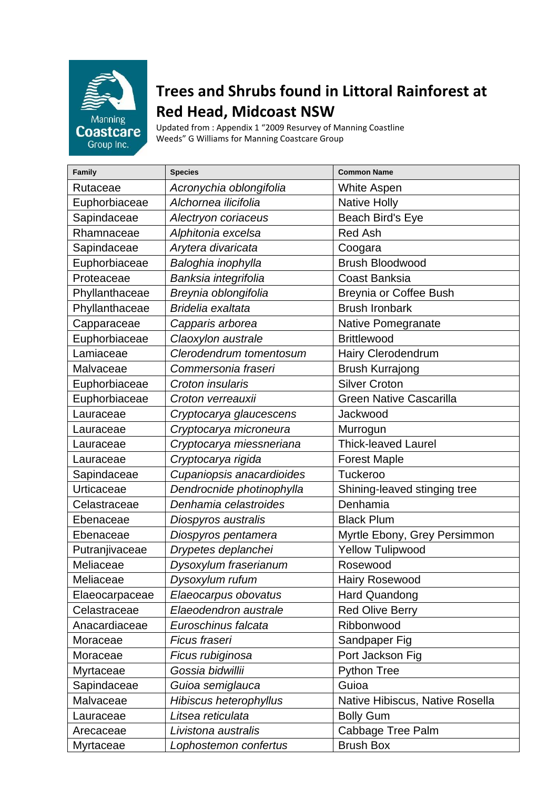

## **Trees and Shrubs found in Littoral Rainforest at Red Head, Midcoast NSW**

Updated from : Appendix 1 "2009 Resurvey of Manning Coastline Weeds" G Williams for Manning Coastcare Group

| Family         | <b>Species</b>            | <b>Common Name</b>              |
|----------------|---------------------------|---------------------------------|
| Rutaceae       | Acronychia oblongifolia   | <b>White Aspen</b>              |
| Euphorbiaceae  | Alchornea ilicifolia      | <b>Native Holly</b>             |
| Sapindaceae    | Alectryon coriaceus       | Beach Bird's Eye                |
| Rhamnaceae     | Alphitonia excelsa        | <b>Red Ash</b>                  |
| Sapindaceae    | Arytera divaricata        | Coogara                         |
| Euphorbiaceae  | Baloghia inophylla        | <b>Brush Bloodwood</b>          |
| Proteaceae     | Banksia integrifolia      | <b>Coast Banksia</b>            |
| Phyllanthaceae | Breynia oblongifolia      | <b>Breynia or Coffee Bush</b>   |
| Phyllanthaceae | Bridelia exaltata         | <b>Brush Ironbark</b>           |
| Capparaceae    | Capparis arborea          | Native Pomegranate              |
| Euphorbiaceae  | Claoxylon australe        | <b>Brittlewood</b>              |
| Lamiaceae      | Clerodendrum tomentosum   | Hairy Clerodendrum              |
| Malvaceae      | Commersonia fraseri       | <b>Brush Kurrajong</b>          |
| Euphorbiaceae  | Croton insularis          | <b>Silver Croton</b>            |
| Euphorbiaceae  | Croton verreauxii         | <b>Green Native Cascarilla</b>  |
| Lauraceae      | Cryptocarya glaucescens   | Jackwood                        |
| Lauraceae      | Cryptocarya microneura    | Murrogun                        |
| Lauraceae      | Cryptocarya miessneriana  | <b>Thick-leaved Laurel</b>      |
| Lauraceae      | Cryptocarya rigida        | <b>Forest Maple</b>             |
| Sapindaceae    | Cupaniopsis anacardioides | <b>Tuckeroo</b>                 |
| Urticaceae     | Dendrocnide photinophylla | Shining-leaved stinging tree    |
| Celastraceae   | Denhamia celastroides     | Denhamia                        |
| Ebenaceae      | Diospyros australis       | <b>Black Plum</b>               |
| Ebenaceae      | Diospyros pentamera       | Myrtle Ebony, Grey Persimmon    |
| Putranjivaceae | Drypetes deplanchei       | <b>Yellow Tulipwood</b>         |
| Meliaceae      | Dysoxylum fraserianum     | Rosewood                        |
| Meliaceae      | Dysoxylum rufum           | <b>Hairy Rosewood</b>           |
| Elaeocarpaceae | Elaeocarpus obovatus      | Hard Quandong                   |
| Celastraceae   | Elaeodendron australe     | <b>Red Olive Berry</b>          |
| Anacardiaceae  | Euroschinus falcata       | Ribbonwood                      |
| Moraceae       | Ficus fraseri             | Sandpaper Fig                   |
| Moraceae       | Ficus rubiginosa          | Port Jackson Fig                |
| Myrtaceae      | Gossia bidwillii          | <b>Python Tree</b>              |
| Sapindaceae    | Guioa semiglauca          | Guioa                           |
| Malvaceae      | Hibiscus heterophyllus    | Native Hibiscus, Native Rosella |
| Lauraceae      | Litsea reticulata         | <b>Bolly Gum</b>                |
| Arecaceae      | Livistona australis       | Cabbage Tree Palm               |
| Myrtaceae      | Lophostemon confertus     | <b>Brush Box</b>                |